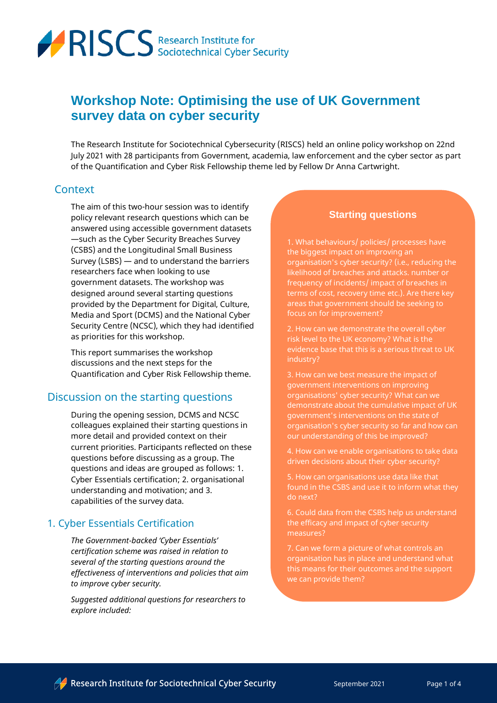

# **Workshop Note: Optimising the use of UK Government survey data on cyber security**

The Research Institute for Sociotechnical Cybersecurity (RISCS) held an online policy workshop on 22nd July 2021 with 28 participants from Government, academia, law enforcement and the cyber sector as part of the Quantification and Cyber Risk Fellowship theme led by Fellow Dr Anna Cartwright.

#### **Context**

The aim of this two-hour session was to identify policy relevant research questions which can be answered using accessible government datasets —such as the Cyber Security Breaches Survey (CSBS) and the Longitudinal Small Business Survey (LSBS) — and to understand the barriers researchers face when looking to use government datasets. The workshop was designed around several starting questions provided by the Department for Digital, Culture, Media and Sport (DCMS) and the National Cyber Security Centre (NCSC), which they had identified as priorities for this workshop.

This report summarises the workshop discussions and the next steps for the Quantification and Cyber Risk Fellowship theme.

### Discussion on the starting questions

During the opening session, DCMS and NCSC colleagues explained their starting questions in more detail and provided context on their current priorities. Participants reflected on these questions before discussing as a group. The questions and ideas are grouped as follows: 1. Cyber Essentials certification; 2. organisational understanding and motivation; and 3. capabilities of the survey data.

#### 1. Cyber Essentials Certification

*The Government-backed 'Cyber Essentials' certification scheme was raised in relation to several of the starting questions around the effectiveness of interventions and policies that aim to improve cyber security.*

*Suggested additional questions for researchers to explore included:*

#### **Starting questions**

1. What behaviours/ policies/ processes have the biggest impact on improving an organisation's cyber security? (i.e., reducing the likelihood of breaches and attacks. number or frequency of incidents/ impact of breaches in terms of cost, recovery time etc.). Are there key areas that government should be seeking to focus on for improvement?

2. How can we demonstrate the overall cyber risk level to the UK economy? What is the evidence base that this is a serious threat to UK industry?

3. How can we best measure the impact of government interventions on improving organisations' cyber security? What can we demonstrate about the cumulative impact of UK government's interventions on the state of organisation's cyber security so far and how can our understanding of this be improved?

4. How can we enable organisations to take data driven decisions about their cyber security?

5. How can organisations use data like that found in the CSBS and use it to inform what they do next?

6. Could data from the CSBS help us understand the efficacy and impact of cyber security

7. Can we form a picture of what controls an organisation has in place and understand what this means for their outcomes and the support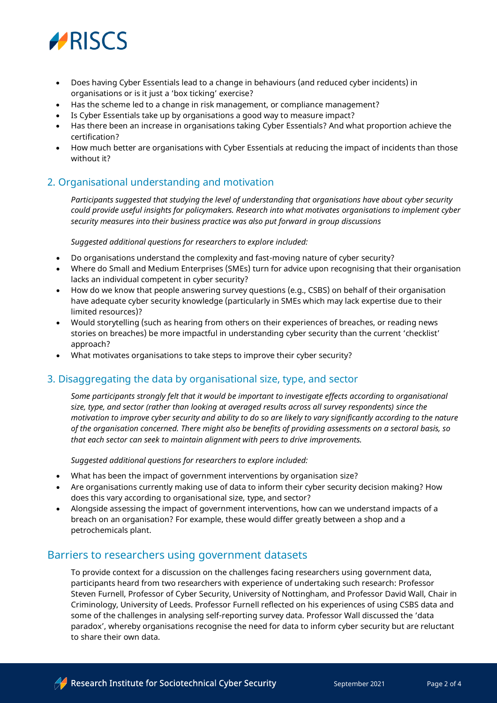

- Does having Cyber Essentials lead to a change in behaviours (and reduced cyber incidents) in organisations or is it just a 'box ticking' exercise?
- Has the scheme led to a change in risk management, or compliance management?
- Is Cyber Essentials take up by organisations a good way to measure impact?
- Has there been an increase in organisations taking Cyber Essentials? And what proportion achieve the certification?
- How much better are organisations with Cyber Essentials at reducing the impact of incidents than those without it?

### 2. Organisational understanding and motivation

*Participants suggested that studying the level of understanding that organisations have about cyber security could provide useful insights for policymakers. Research into what motivates organisations to implement cyber security measures into their business practice was also put forward in group discussions*

*Suggested additional questions for researchers to explore included:*

- Do organisations understand the complexity and fast-moving nature of cyber security?
- Where do Small and Medium Enterprises (SMEs) turn for advice upon recognising that their organisation lacks an individual competent in cyber security?
- How do we know that people answering survey questions (e.g., CSBS) on behalf of their organisation have adequate cyber security knowledge (particularly in SMEs which may lack expertise due to their limited resources)?
- Would storytelling (such as hearing from others on their experiences of breaches, or reading news stories on breaches) be more impactful in understanding cyber security than the current 'checklist' approach?
- What motivates organisations to take steps to improve their cyber security?

#### 3. Disaggregating the data by organisational size, type, and sector

*Some participants strongly felt that it would be important to investigate effects according to organisational size, type, and sector (rather than looking at averaged results across all survey respondents) since the motivation to improve cyber security and ability to do so are likely to vary significantly according to the nature of the organisation concerned. There might also be benefits of providing assessments on a sectoral basis, so that each sector can seek to maintain alignment with peers to drive improvements.*

*Suggested additional questions for researchers to explore included:*

- What has been the impact of government interventions by organisation size?
- Are organisations currently making use of data to inform their cyber security decision making? How does this vary according to organisational size, type, and sector?
- Alongside assessing the impact of government interventions, how can we understand impacts of a breach on an organisation? For example, these would differ greatly between a shop and a petrochemicals plant.

#### Barriers to researchers using government datasets

To provide context for a discussion on the challenges facing researchers using government data, participants heard from two researchers with experience of undertaking such research: Professor Steven Furnell, Professor of Cyber Security, University of Nottingham, and Professor David Wall, Chair in Criminology, University of Leeds. Professor Furnell reflected on his experiences of using CSBS data and some of the challenges in analysing self-reporting survey data. Professor Wall discussed the 'data paradox', whereby organisations recognise the need for data to inform cyber security but are reluctant to share their own data.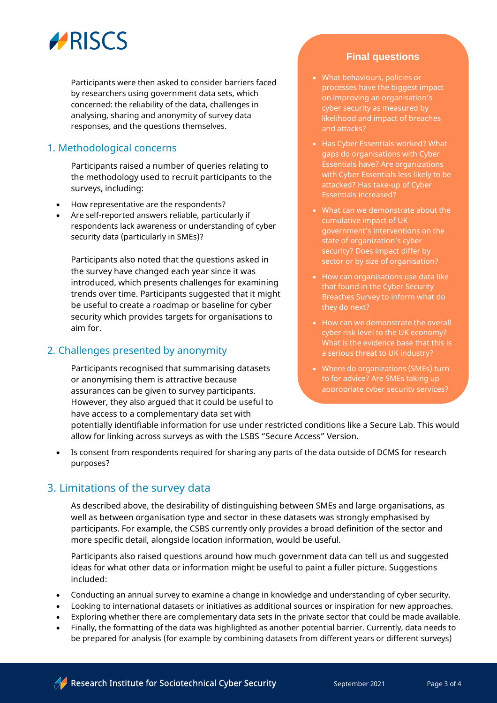

Participants were then asked to consider barriers faced by researchers using government data sets, which concerned: the reliability of the data, challenges in analysing, sharing and anonymity of survey data responses, and the questions themselves.

### 1. Methodological concerns

Participants raised a number of queries relating to the methodology used to recruit participants to the surveys, including:

- How representative are the respondents?
- Are self-reported answers reliable, particularly if respondents lack awareness or understanding of cyber security data (particularly in SMEs)?

Participants also noted that the questions asked in the survey have changed each year since it was introduced, which presents challenges for examining trends over time. Participants suggested that it might be useful to create a roadmap or baseline for cyber security which provides targets for organisations to aim for.

#### 2. Challenges presented by anonymity

Participants recognised that summarising datasets or anonymising them is attractive because assurances can be given to survey participants. However, they also argued that it could be useful to have access to a complementary data set with

### **Final questions**

- What behaviours, policies or processes have the biggest impact on improving an organisation's cyber security as measured by likelihood and impact of breaches and attacks?
- Has Cyber Essentials worked? What gaps do organisations with Cyber Essentials have? Are organizations with Cyber Essentials less likely to be attacked? Has take-up of Cyber Essentials increased?
- What can we demonstrate about the cumulative impact of UK government's interventions on the state of organization's cyber security? Does impact differ by sector or by size of organisation?
- How can organisations use data like that found in the Cyber Security Breaches Survey to inform what do they do next?
- cyber risk level to the UK economy? What is the evidence base that this is a serious threat to UK industry?
- Where do organizations (SMEs) turn to for advice? Are SMEs taking up appropriate cyber security services?

potentially identifiable information for use under restricted conditions like a Secure Lab. This would allow for linking across surveys as with the LSBS "Secure Access" Version.

• Is consent from respondents required for sharing any parts of the data outside of DCMS for research purposes?

### 3. Limitations of the survey data

As described above, the desirability of distinguishing between SMEs and large organisations, as well as between organisation type and sector in these datasets was strongly emphasised by participants. For example, the CSBS currently only provides a broad definition of the sector and more specific detail, alongside location information, would be useful.

Participants also raised questions around how much government data can tell us and suggested ideas for what other data or information might be useful to paint a fuller picture. Suggestions included:

- Conducting an annual survey to examine a change in knowledge and understanding of cyber security.
- Looking to international datasets or initiatives as additional sources or inspiration for new approaches.
- Exploring whether there are complementary data sets in the private sector that could be made available.
- Finally, the formatting of the data was highlighted as another potential barrier. Currently, data needs to be prepared for analysis (for example by combining datasets from different years or different surveys)